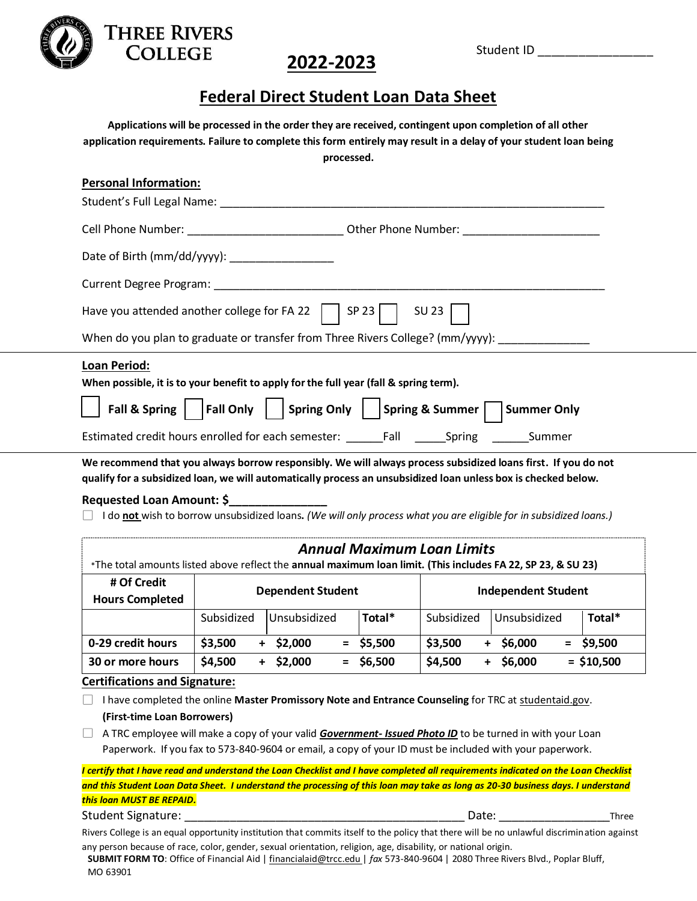

### **2022-2023**

### **Federal Direct Student Loan Data Sheet**

**Applications will be processed in the order they are received, contingent upon completion of all other application requirements. Failure to complete this form entirely may result in a delay of your student loan being processed.**

| <b>Personal Information:</b>                                                                                                                                                                                                    |
|---------------------------------------------------------------------------------------------------------------------------------------------------------------------------------------------------------------------------------|
| Student's Full Legal Name: Name and Students and Student's Full Decision of the Student's Full Decision of the                                                                                                                  |
|                                                                                                                                                                                                                                 |
| Date of Birth (mm/dd/yyyy): _________________                                                                                                                                                                                   |
|                                                                                                                                                                                                                                 |
| Have you attended another college for FA 22 $\mid$ SP 23 $\mid$ SU 23 $\mid$                                                                                                                                                    |
| When do you plan to graduate or transfer from Three Rivers College? (mm/yyyy): ____________________                                                                                                                             |
| <b>Loan Period:</b><br>When possible, it is to your benefit to apply for the full year (fall & spring term).                                                                                                                    |
| $\mid$ Fall & Spring $\mid$ $\mid$ Fall Only $\mid$ $\mid$ Spring Only $\mid$ $\mid$ Spring & Summer $\mid$ $\mid$ Summer Only                                                                                                  |
|                                                                                                                                                                                                                                 |
| We recommend that you always borrow responsibly. We will always process subsidized loans first. If you do not<br>qualify for a subsidized loan, we will automatically process an unsubsidized loan unless box is checked below. |

#### **Requested Loan Amount: \$\_\_\_\_\_\_\_\_\_\_\_\_\_\_\_**

**THREE RIVERS COLLEGE** 

I do **not** wish to borrow unsubsidized loans**.** *(We will only process what you are eligible for in subsidized loans.)* 

| <b>Annual Maximum Loan Limits</b><br>*The total amounts listed above reflect the annual maximum loan limit. (This includes FA 22, SP 23, & SU 23) |                          |                |             |                            |                       |              |  |
|---------------------------------------------------------------------------------------------------------------------------------------------------|--------------------------|----------------|-------------|----------------------------|-----------------------|--------------|--|
| # Of Credit<br><b>Hours Completed</b>                                                                                                             | <b>Dependent Student</b> |                |             | <b>Independent Student</b> |                       |              |  |
|                                                                                                                                                   | Subsidized               | l Unsubsidized | Total*      | Subsidized                 | Unsubsidized          | Total*       |  |
| 0-29 credit hours                                                                                                                                 | \$3,500                  | \$2,000        | $=$ \$5,500 | \$3,500                    | \$6,000<br>$=$<br>$+$ | \$9,500      |  |
| 30 or more hours                                                                                                                                  | \$4,500                  | \$2,000<br>$=$ | \$6,500     | \$4,500                    | \$6,000<br>$+$        | $=$ \$10,500 |  |

#### **Certifications and Signature:**

I have completed the online **Master Promissory Note and Entrance Counseling** for TRC at studentaid.gov. **(First-time Loan Borrowers)**

A TRC employee will make a copy of your valid *Government- Issued Photo ID* to be turned in with your Loan Paperwork. If you fax to 573-840-9604 or email, a copy of your ID must be included with your paperwork.

*I certify that I have read and understand the Loan Checklist and I have completed all requirements indicated on the Loan Checklist and this Student Loan Data Sheet. I understand the processing of this loan may take as long as 20-30 business days. I understand this loan MUST BE REPAID.*

Student Signature: \_\_\_\_\_\_\_\_\_\_\_\_\_\_\_\_\_\_\_\_\_\_\_\_\_\_\_\_\_\_\_\_\_\_\_\_\_\_\_\_\_\_\_ Date: \_\_\_\_\_\_\_\_\_\_\_\_\_\_\_\_\_Three

Rivers College is an equal opportunity institution that commits itself to the policy that there will be no unlawful discrimination against any person because of race, color, gender, sexual orientation, religion, age, disability, or national origin.

**SUBMIT FORM TO**: Office of Financial Aid [| financialaid@trcc.edu](mailto:financialaid@trcc.edu) | *fax* 573-840-9604 | 2080 Three Rivers Blvd., Poplar Bluff, MO 63901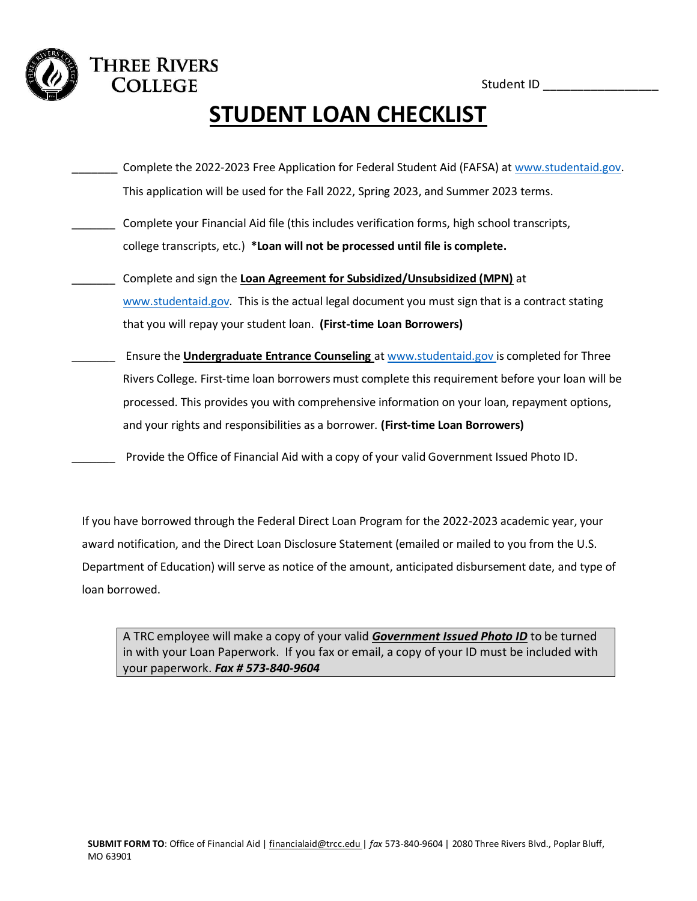Student ID \_\_\_\_\_\_\_\_\_\_\_\_\_\_\_\_\_

# **STUDENT LOAN CHECKLIST**

- Complete the 2022-2023 Free Application for Federal Student Aid (FAFSA) at [www.studentaid.gov.](http://www.studentaid.gov/) This application will be used for the Fall 2022, Spring 2023, and Summer 2023 terms.
- Complete your Financial Aid file (this includes verification forms, high school transcripts, college transcripts, etc.) **\*Loan will not be processed until file is complete.**

**THREE RIVERS COLLEGE** 

- \_\_\_\_\_\_\_ Complete and sign the **Loan Agreement for Subsidized/Unsubsidized (MPN)** at [www.studentaid.gov.](http://www.studentaid.gov/) This is the actual legal document you must sign that is a contract stating that you will repay your student loan. **(First-time Loan Borrowers)**
- \_\_\_\_\_\_\_ Ensure the **Undergraduate Entrance Counseling** at [www.studentaid.gov](http://www.studentaid.gov/) is completed for Three Rivers College. First-time loan borrowers must complete this requirement before your loan will be processed. This provides you with comprehensive information on your loan, repayment options, and your rights and responsibilities as a borrower. **(First-time Loan Borrowers)**

Provide the Office of Financial Aid with a copy of your valid Government Issued Photo ID.

If you have borrowed through the Federal Direct Loan Program for the 2022-2023 academic year, your award notification, and the Direct Loan Disclosure Statement (emailed or mailed to you from the U.S. Department of Education) will serve as notice of the amount, anticipated disbursement date, and type of loan borrowed.

A TRC employee will make a copy of your valid *Government Issued Photo ID* to be turned in with your Loan Paperwork. If you fax or email, a copy of your ID must be included with your paperwork. *Fax # 573-840-9604*